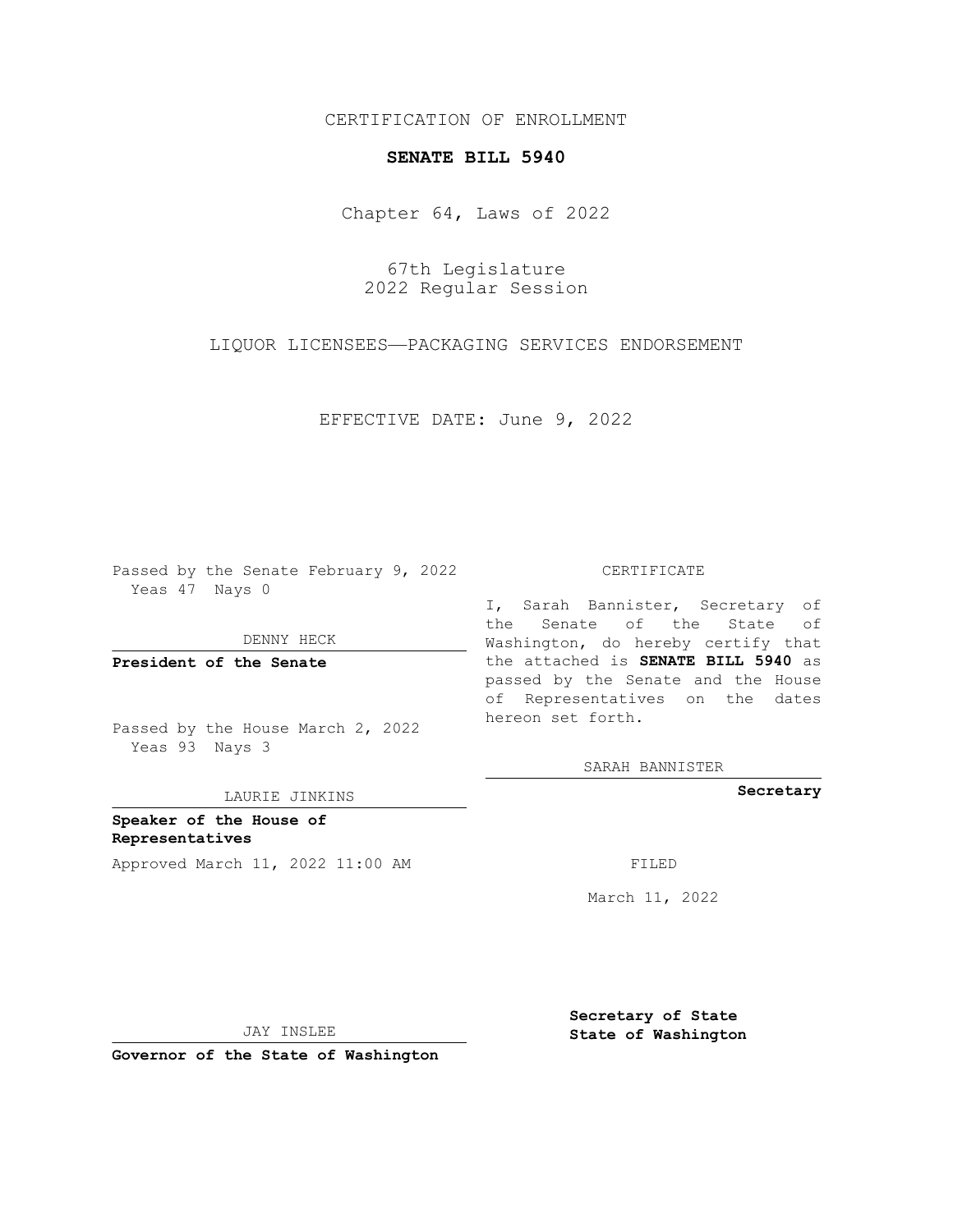## CERTIFICATION OF ENROLLMENT

## **SENATE BILL 5940**

Chapter 64, Laws of 2022

67th Legislature 2022 Regular Session

LIQUOR LICENSEES—PACKAGING SERVICES ENDORSEMENT

EFFECTIVE DATE: June 9, 2022

Passed by the Senate February 9, 2022 Yeas 47 Nays 0

DENNY HECK

**President of the Senate**

Passed by the House March 2, 2022 Yeas 93 Nays 3

LAURIE JINKINS

**Speaker of the House of Representatives** Approved March 11, 2022 11:00 AM FILED

CERTIFICATE

I, Sarah Bannister, Secretary of the Senate of the State of Washington, do hereby certify that the attached is **SENATE BILL 5940** as passed by the Senate and the House of Representatives on the dates hereon set forth.

SARAH BANNISTER

**Secretary**

March 11, 2022

JAY INSLEE

**Governor of the State of Washington**

**Secretary of State State of Washington**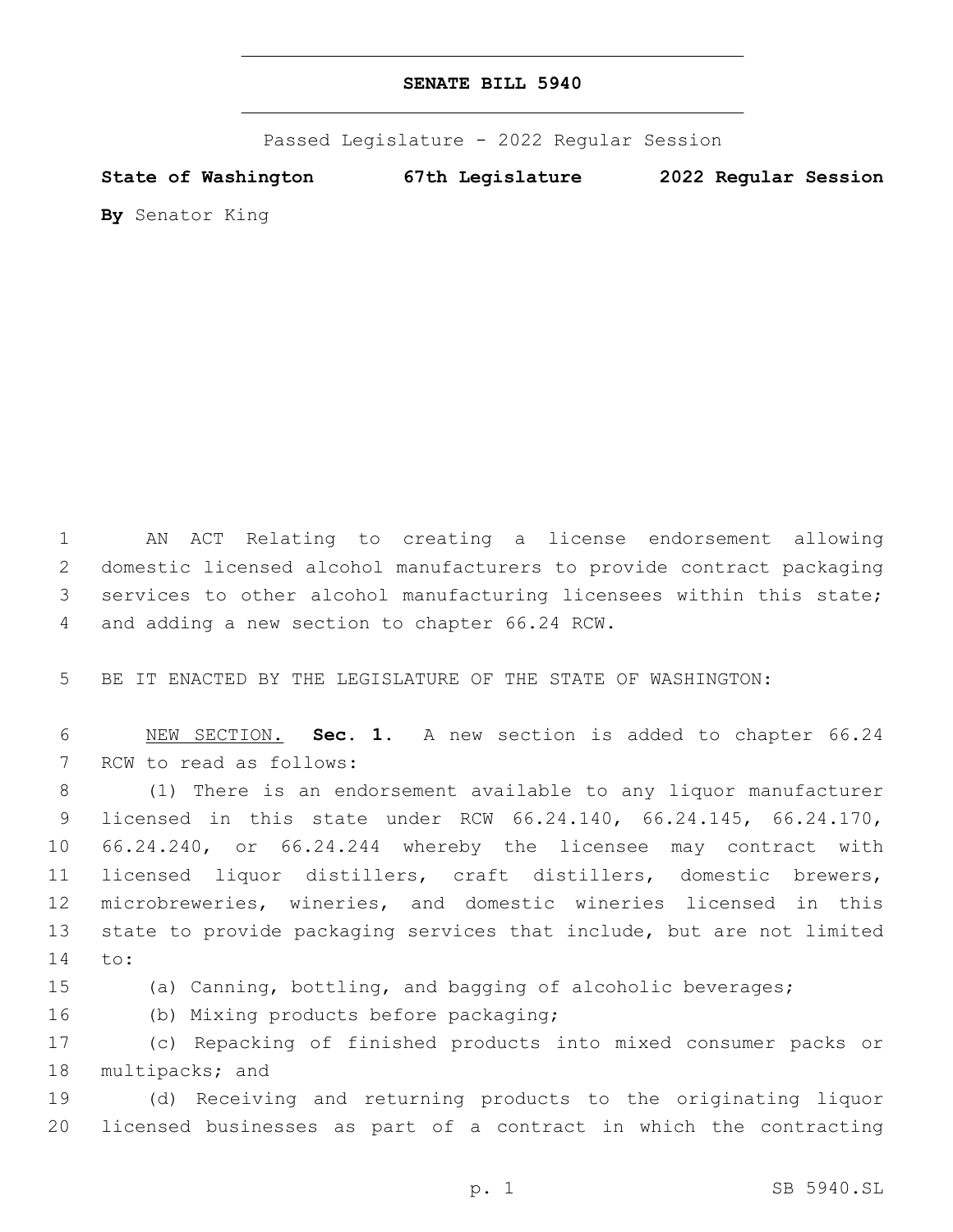Passed Legislature - 2022 Regular Session

**State of Washington 67th Legislature 2022 Regular Session**

**By** Senator King

 AN ACT Relating to creating a license endorsement allowing domestic licensed alcohol manufacturers to provide contract packaging services to other alcohol manufacturing licensees within this state; 4 and adding a new section to chapter 66.24 RCW.

5 BE IT ENACTED BY THE LEGISLATURE OF THE STATE OF WASHINGTON:

6 NEW SECTION. **Sec. 1.** A new section is added to chapter 66.24 7 RCW to read as follows:

 (1) There is an endorsement available to any liquor manufacturer licensed in this state under RCW 66.24.140, 66.24.145, 66.24.170, 66.24.240, or 66.24.244 whereby the licensee may contract with licensed liquor distillers, craft distillers, domestic brewers, microbreweries, wineries, and domestic wineries licensed in this state to provide packaging services that include, but are not limited 14 to:

15 (a) Canning, bottling, and bagging of alcoholic beverages;

16 (b) Mixing products before packaging;

17 (c) Repacking of finished products into mixed consumer packs or 18 multipacks; and

19 (d) Receiving and returning products to the originating liquor 20 licensed businesses as part of a contract in which the contracting